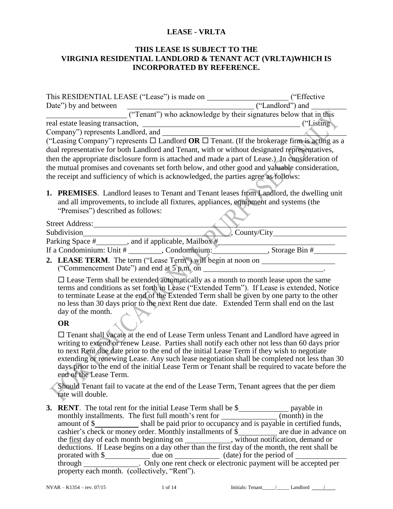### **LEASE - VRLTA**

#### **THIS LEASE IS SUBJECT TO THE VIRGINIA RESIDENTIAL LANDLORD & TENANT ACT (VRLTA)WHICH IS INCORPORATED BY REFERENCE.**

|                                                                                                                                                                                                                         | ("Effective")        |  |  |  |
|-------------------------------------------------------------------------------------------------------------------------------------------------------------------------------------------------------------------------|----------------------|--|--|--|
| ("Landlord") and<br>Date") by and between                                                                                                                                                                               |                      |  |  |  |
| ("Tenant") who acknowledge by their signatures below that in this                                                                                                                                                       |                      |  |  |  |
|                                                                                                                                                                                                                         |                      |  |  |  |
| Company") represents Landlord, and                                                                                                                                                                                      |                      |  |  |  |
| ("Leasing Company") represents $\Box$ Landlord <b>OR</b> $\Box$ Tenant. (If the brokerage firm is acting as a                                                                                                           |                      |  |  |  |
| dual representative for both Landlord and Tenant, with or without designated representatives,                                                                                                                           |                      |  |  |  |
| then the appropriate disclosure form is attached and made a part of Lease.) In consideration of                                                                                                                         |                      |  |  |  |
| the mutual promises and covenants set forth below, and other good and yaluable consideration,                                                                                                                           |                      |  |  |  |
| the receipt and sufficiency of which is acknowledged, the parties agree as follows:                                                                                                                                     |                      |  |  |  |
| 1. PREMISES. Landlord leases to Tenant and Tenant leases from Landlord, the dwelling unit<br>and all improvements, to include all fixtures, appliances, equipment and systems (the<br>"Premises") described as follows: |                      |  |  |  |
|                                                                                                                                                                                                                         |                      |  |  |  |
| Subdivision                                                                                                                                                                                                             | $\sim$ , County/City |  |  |  |
|                                                                                                                                                                                                                         |                      |  |  |  |
| If a Condominium: Unit $\#$ ________, Condominium: $\frac{1}{2}$ ____________, Storage Bin $\#$                                                                                                                         |                      |  |  |  |
| 2. LEASE TERM. The term ("Lease Term") will begin at noon on                                                                                                                                                            |                      |  |  |  |
| $\Box$ Lease Term shall be extended automatically as a month to month lease upon the same                                                                                                                               |                      |  |  |  |

 $\Box$  Lease Term shall be extended automatically as a month to month lease upon the same terms and conditions as set forth in Lease ("Extended Term"). If Lease is extended, Notice to terminate Lease at the end of the Extended Term shall be given by one party to the other no less than 30 days prior to the next Rent due date. Extended Term shall end on the last day of the month.

#### **OR**

 Tenant shall vacate at the end of Lease Term unless Tenant and Landlord have agreed in writing to extend or renew Lease. Parties shall notify each other not less than 60 days prior to next Rent due date prior to the end of the initial Lease Term if they wish to negotiate extending or renewing Lease. Any such lease negotiation shall be completed not less than 30 days prior to the end of the initial Lease Term or Tenant shall be required to vacate before the end of the Lease Term.

Should Tenant fail to vacate at the end of the Lease Term, Tenant agrees that the per diem rate will double.

**3. RENT**. The total rent for the initial Lease Term shall be \$\_\_\_\_\_\_\_\_\_\_\_\_\_\_\_\_\_ payable in monthly installments. The first full month's rent for \_\_\_\_\_\_\_\_\_\_\_\_\_\_(month) in the amount of  $\frac{1}{2}$  shall be paid prior to occupancy and is payable in certified funds, cashier's check or money order. Monthly installments of \$\_\_\_\_\_\_\_\_\_\_\_ are due in advance on the <u>first</u> day of each month beginning on \_\_\_\_\_\_\_\_\_\_\_, without notification, demand or deductions. If Lease begins on a day other than the first day of the month, the rent shall be prorated with \$ through . Only one rent check or electronic payment will be accepted per property each month. (collectively, "Rent").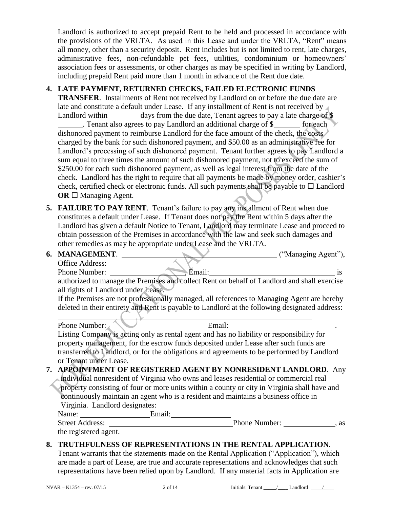Landlord is authorized to accept prepaid Rent to be held and processed in accordance with the provisions of the VRLTA. As used in this Lease and under the VRLTA, "Rent" means all money, other than a security deposit. Rent includes but is not limited to rent, late charges, administrative fees, non-refundable pet fees, utilities, condominium or homeowners' association fees or assessments, or other charges as may be specified in writing by Landlord, including prepaid Rent paid more than 1 month in advance of the Rent due date.

## **4. LATE PAYMENT, RETURNED CHECKS, FAILED ELECTRONIC FUNDS**

**TRANSFER**. Installments of Rent not received by Landlord on or before the due date are late and constitute a default under Lease. If any installment of Rent is not received by Landlord within days from the due date, Tenant agrees to pay a late charge of  $\$\$ . Tenant also agrees to pay Landlord an additional charge of \$ for each dishonored payment to reimburse Landlord for the face amount of the check, the costs charged by the bank for such dishonored payment, and \$50.00 as an administrative fee for Landlord's processing of such dishonored payment. Tenant further agrees to pay Landlord a sum equal to three times the amount of such dishonored payment, not to exceed the sum of \$250.00 for each such dishonored payment, as well as legal interest from the date of the check. Landlord has the right to require that all payments be made by money order, cashier's check, certified check or electronic funds. All such payments shall be payable to  $\Box$  Landlord  $OR \square$  Managing Agent.

**5. FAILURE TO PAY RENT**. Tenant's failure to pay any installment of Rent when due constitutes a default under Lease. If Tenant does not pay the Rent within 5 days after the Landlord has given a default Notice to Tenant, Landlord may terminate Lease and proceed to obtain possession of the Premises in accordance with the law and seek such damages and other remedies as may be appropriate under Lease and the VRLTA.

|                                                                                                                                                                                   | 6. MANAGEMENT.                                                                      |                                                                                                | ("Managing Agent"), |  |
|-----------------------------------------------------------------------------------------------------------------------------------------------------------------------------------|-------------------------------------------------------------------------------------|------------------------------------------------------------------------------------------------|---------------------|--|
|                                                                                                                                                                                   | Office Address:                                                                     |                                                                                                |                     |  |
|                                                                                                                                                                                   | Phone Number:                                                                       | , Email:                                                                                       | <i>is</i>           |  |
|                                                                                                                                                                                   |                                                                                     | authorized to manage the Premises and collect Rent on behalf of Landlord and shall exercise    |                     |  |
|                                                                                                                                                                                   | all rights of Landlord under Lease.                                                 |                                                                                                |                     |  |
|                                                                                                                                                                                   |                                                                                     | If the Premises are not professionally managed, all references to Managing Agent are hereby    |                     |  |
|                                                                                                                                                                                   |                                                                                     | deleted in their entirety and Rent is payable to Landlord at the following designated address: |                     |  |
|                                                                                                                                                                                   | Phone Number: ∡                                                                     | Email:                                                                                         |                     |  |
| Listing Company is acting only as rental agent and has no liability or responsibility for<br>property management, for the escrow funds deposited under Lease after such funds are |                                                                                     |                                                                                                |                     |  |
|                                                                                                                                                                                   |                                                                                     |                                                                                                |                     |  |
|                                                                                                                                                                                   | or Tenant under Lease.                                                              |                                                                                                |                     |  |
|                                                                                                                                                                                   |                                                                                     | 7. APPOINTMENT OF REGISTERED AGENT BY NONRESIDENT LANDLORD. Any                                |                     |  |
|                                                                                                                                                                                   |                                                                                     | individual nonresident of Virginia who owns and leases residential or commercial real          |                     |  |
|                                                                                                                                                                                   |                                                                                     | property consisting of four or more units within a county or city in Virginia shall have and   |                     |  |
|                                                                                                                                                                                   | continuously maintain an agent who is a resident and maintains a business office in |                                                                                                |                     |  |
|                                                                                                                                                                                   | Virginia. Landlord designates:                                                      |                                                                                                |                     |  |
|                                                                                                                                                                                   | Name: Email:                                                                        |                                                                                                |                     |  |
|                                                                                                                                                                                   |                                                                                     | Street Address:                                                                                | Phone Number: 3. as |  |
|                                                                                                                                                                                   | the registered agent.                                                               |                                                                                                |                     |  |
|                                                                                                                                                                                   |                                                                                     | ADITATIBIT NEGO AE DEDDEGENT (ATANG IN AIIE DENTA I                                            |                     |  |

**8. TRUTHFULNESS OF REPRESENTATIONS IN THE RENTAL APPLICATION**. Tenant warrants that the statements made on the Rental Application ("Application"), which are made a part of Lease, are true and accurate representations and acknowledges that such representations have been relied upon by Landlord. If any material facts in Application are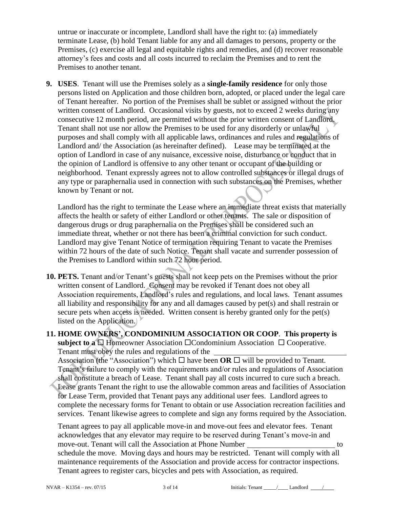untrue or inaccurate or incomplete, Landlord shall have the right to: (a) immediately terminate Lease, (b) hold Tenant liable for any and all damages to persons, property or the Premises, (c) exercise all legal and equitable rights and remedies, and (d) recover reasonable attorney's fees and costs and all costs incurred to reclaim the Premises and to rent the Premises to another tenant.

**9. USES**. Tenant will use the Premises solely as a **single-family residence** for only those persons listed on Application and those children born, adopted, or placed under the legal care of Tenant hereafter. No portion of the Premises shall be sublet or assigned without the prior written consent of Landlord. Occasional visits by guests, not to exceed 2 weeks during any consecutive 12 month period, are permitted without the prior written consent of Landlord. Tenant shall not use nor allow the Premises to be used for any disorderly or unlawful purposes and shall comply with all applicable laws, ordinances and rules and regulations of Landlord and/ the Association (as hereinafter defined). Lease may be terminated at the option of Landlord in case of any nuisance, excessive noise, disturbance or conduct that in the opinion of Landlord is offensive to any other tenant or occupant of the building or neighborhood. Tenant expressly agrees not to allow controlled substances or illegal drugs of any type or paraphernalia used in connection with such substances on the Premises, whether known by Tenant or not.

Landlord has the right to terminate the Lease where an immediate threat exists that materially affects the health or safety of either Landlord or other tenants. The sale or disposition of dangerous drugs or drug paraphernalia on the Premises shall be considered such an immediate threat, whether or not there has been a criminal conviction for such conduct. Landlord may give Tenant Notice of termination requiring Tenant to vacate the Premises within 72 hours of the date of such Notice. Tenant shall vacate and surrender possession of the Premises to Landlord within such 72 hour period.

- **10. PETS.** Tenant and/or Tenant's guests shall not keep pets on the Premises without the prior written consent of Landlord. Consent may be revoked if Tenant does not obey all Association requirements, Landlord's rules and regulations, and local laws. Tenant assumes all liability and responsibility for any and all damages caused by pet(s) and shall restrain or secure pets when access is needed. Written consent is hereby granted only for the pet(s) listed on the Application.
- **11. HOME OWNERS', CONDOMINIUM ASSOCIATION OR COOP**. **This property is subject to a**  $\Box$  Homeowner Association  $\Box$  Condominium Association  $\Box$  Cooperative. Tenant must obey the rules and regulations of the

Association (the "Association") which  $\Box$  have been **OR**  $\Box$  will be provided to Tenant. Tenant's failure to comply with the requirements and/or rules and regulations of Association shall constitute a breach of Lease. Tenant shall pay all costs incurred to cure such a breach. Lease grants Tenant the right to use the allowable common areas and facilities of Association for Lease Term, provided that Tenant pays any additional user fees. Landlord agrees to complete the necessary forms for Tenant to obtain or use Association recreation facilities and services. Tenant likewise agrees to complete and sign any forms required by the Association.

Tenant agrees to pay all applicable move-in and move-out fees and elevator fees. Tenant acknowledges that any elevator may require to be reserved during Tenant's move-in and move-out. Tenant will call the Association at Phone Number to schedule the move. Moving days and hours may be restricted. Tenant will comply with all maintenance requirements of the Association and provide access for contractor inspections. Tenant agrees to register cars, bicycles and pets with Association, as required.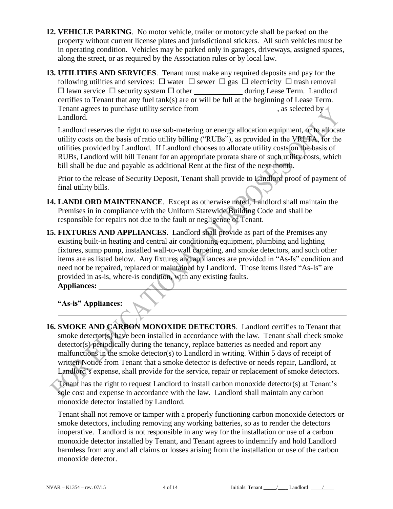- **12. VEHICLE PARKING**. No motor vehicle, trailer or motorcycle shall be parked on the property without current license plates and jurisdictional stickers. All such vehicles must be in operating condition. Vehicles may be parked only in garages, driveways, assigned spaces, along the street, or as required by the Association rules or by local law.
- **13. UTILITIES AND SERVICES**. Tenant must make any required deposits and pay for the following utilities and services:  $\Box$  water  $\Box$  sewer  $\Box$  gas  $\Box$  electricity  $\Box$  trash removal  $\Box$  lawn service  $\Box$  security system  $\Box$  other \_\_\_\_\_\_\_\_\_\_\_\_\_ during Lease Term. Landlord certifies to Tenant that any fuel tank(s) are or will be full at the beginning of Lease Term. Tenant agrees to purchase utility service from , as selected by  $\lambda$ Landlord.

Landlord reserves the right to use sub-metering or energy allocation equipment, or to allocate utility costs on the basis of ratio utility billing ("RUBs"), as provided in the VRLTA, for the utilities provided by Landlord. If Landlord chooses to allocate utility costs on the basis of RUBs, Landlord will bill Tenant for an appropriate prorata share of such utility costs, which bill shall be due and payable as additional Rent at the first of the next month.

Prior to the release of Security Deposit, Tenant shall provide to Landlord proof of payment of final utility bills.

- **14. LANDLORD MAINTENANCE**. Except as otherwise noted, Landlord shall maintain the Premises in in compliance with the Uniform Statewide Building Code and shall be responsible for repairs not due to the fault or negligence of Tenant.
- **15. FIXTURES AND APPLIANCES**. Landlord shall provide as part of the Premises any existing built-in heating and central air conditioning equipment, plumbing and lighting fixtures, sump pump, installed wall-to-wall carpeting, and smoke detectors, and such other items are as listed below. Any fixtures and appliances are provided in "As-Is" condition and need not be repaired, replaced or maintained by Landlord. Those items listed "As-Is" are provided in as-is, where-is condition, with any existing faults.

**Appliances:** 

**"As-is" Appliances:** 

**16. SMOKE AND CARBON MONOXIDE DETECTORS**. Landlord certifies to Tenant that smoke detector(s) have been installed in accordance with the law. Tenant shall check smoke detector(s) periodically during the tenancy, replace batteries as needed and report any malfunctions in the smoke detector(s) to Landlord in writing. Within 5 days of receipt of written Notice from Tenant that a smoke detector is defective or needs repair, Landlord, at Landlord's expense, shall provide for the service, repair or replacement of smoke detectors.

Tenant has the right to request Landlord to install carbon monoxide detector(s) at Tenant's sole cost and expense in accordance with the law. Landlord shall maintain any carbon monoxide detector installed by Landlord.

Tenant shall not remove or tamper with a properly functioning carbon monoxide detectors or smoke detectors, including removing any working batteries, so as to render the detectors inoperative. Landlord is not responsible in any way for the installation or use of a carbon monoxide detector installed by Tenant, and Tenant agrees to indemnify and hold Landlord harmless from any and all claims or losses arising from the installation or use of the carbon monoxide detector.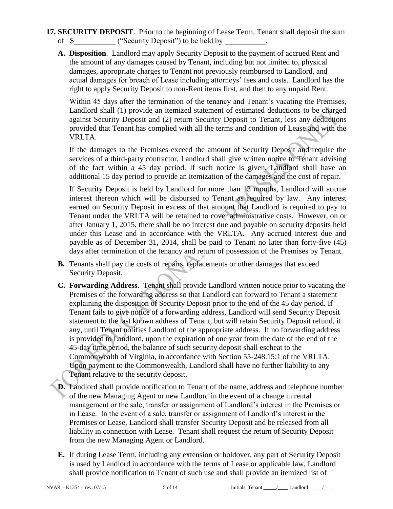- **17. SECURITY DEPOSIT**. Prior to the beginning of Lease Term, Tenant shall deposit the sum of  $\$$  ("Security Deposit") to be held by \_\_\_\_\_\_\_\_.
	- **A. Disposition**. Landlord may apply Security Deposit to the payment of accrued Rent and the amount of any damages caused by Tenant, including but not limited to, physical damages, appropriate charges to Tenant not previously reimbursed to Landlord, and actual damages for breach of Lease including attorneys' fees and costs. Landlord has the right to apply Security Deposit to non-Rent items first, and then to any unpaid Rent.

Within 45 days after the termination of the tenancy and Tenant's vacating the Premises, Landlord shall (1) provide an itemized statement of estimated deductions to be charged against Security Deposit and (2) return Security Deposit to Tenant, less any deductions provided that Tenant has complied with all the terms and condition of Lease and with the VRLTA.

If the damages to the Premises exceed the amount of Security Deposit and require the services of a third-party contractor, Landlord shall give written notice to Tenant advising of the fact within a 45 day period. If such notice is given, Landlord shall have an additional 15 day period to provide an itemization of the damages and the cost of repair.

If Security Deposit is held by Landlord for more than 13 months, Landlord will accrue interest thereon which will be disbursed to Tenant as required by law. Any interest earned on Security Deposit in excess of that amount that Landlord is required to pay to Tenant under the VRLTA will be retained to cover administrative costs. However, on or after January 1, 2015, there shall be no interest due and payable on security deposits held under this Lease and in accordance with the VRLTA. Any accrued interest due and payable as of December 31, 2014, shall be paid to Tenant no later than forty-five (45) days after termination of the tenancy and return of possession of the Premises by Tenant.

- **B.** Tenants shall pay the costs of repairs, replacements or other damages that exceed Security Deposit.
- **C. Forwarding Address**. Tenant shall provide Landlord written notice prior to vacating the Premises of the forwarding address so that Landlord can forward to Tenant a statement explaining the disposition of Security Deposit prior to the end of the 45 day period. If Tenant fails to give notice of a forwarding address, Landlord will send Security Deposit statement to the last known address of Tenant, but will retain Security Deposit refund, if any, until Tenant notifies Landlord of the appropriate address. If no forwarding address is provided to Landlord, upon the expiration of one year from the date of the end of the 45-day time period, the balance of such security deposit shall escheat to the Commonwealth of Virginia, in accordance with Section 55-248.15:1 of the VRLTA. Upon payment to the Commonwealth, Landlord shall have no further liability to any Tenant relative to the security deposit.
- **D.** Landlord shall provide notification to Tenant of the name, address and telephone number of the new Managing Agent or new Landlord in the event of a change in rental management or the sale, transfer or assignment of Landlord's interest in the Premises or in Lease. In the event of a sale, transfer or assignment of Landlord's interest in the Premises or Lease, Landlord shall transfer Security Deposit and be released from all liability in connection with Lease. Tenant shall request the return of Security Deposit from the new Managing Agent or Landlord.
- **E.** If during Lease Term, including any extension or holdover, any part of Security Deposit is used by Landlord in accordance with the terms of Lease or applicable law, Landlord shall provide notification to Tenant of such use and shall provide an itemized list of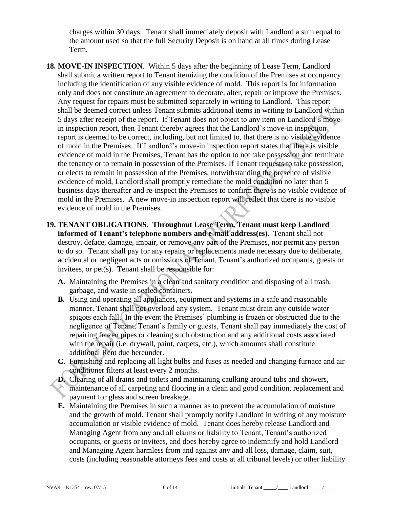charges within 30 days. Tenant shall immediately deposit with Landlord a sum equal to the amount used so that the full Security Deposit is on hand at all times during Lease Term.

- **18. MOVE-IN INSPECTION**. Within 5 days after the beginning of Lease Term, Landlord shall submit a written report to Tenant itemizing the condition of the Premises at occupancy including the identification of any visible evidence of mold. This report is for information only and does not constitute an agreement to decorate, alter, repair or improve the Premises. Any request for repairs must be submitted separately in writing to Landlord. This report shall be deemed correct unless Tenant submits additional items in writing to Landlord within 5 days after receipt of the report. If Tenant does not object to any item on Landlord's movein inspection report, then Tenant thereby agrees that the Landlord's move-in inspection report is deemed to be correct, including, but not limited to, that there is no visible evidence of mold in the Premises. If Landlord's move-in inspection report states that there is visible evidence of mold in the Premises, Tenant has the option to not take possession and terminate the tenancy or to remain in possession of the Premises. If Tenant requests to take possession, or elects to remain in possession of the Premises, notwithstanding the presence of visible evidence of mold, Landlord shall promptly remediate the mold condition no later than 5 business days thereafter and re-inspect the Premises to confirm there is no visible evidence of mold in the Premises. A new move-in inspection report will reflect that there is no visible evidence of mold in the Premises.
- **19. TENANT OBLIGATIONS**. **Throughout Lease Term, Tenant must keep Landlord informed of Tenant's telephone numbers and e-mail address(es).** Tenant shall not destroy, deface, damage, impair, or remove any part of the Premises, nor permit any person to do so. Tenant shall pay for any repairs or replacements made necessary due to deliberate, accidental or negligent acts or omissions of Tenant, Tenant's authorized occupants, guests or invitees, or pet(s). Tenant shall be responsible for:
	- **A.** Maintaining the Premises in a clean and sanitary condition and disposing of all trash, garbage, and waste in sealed containers.
	- **B.** Using and operating all appliances, equipment and systems in a safe and reasonable manner. Tenant shall not overload any system. Tenant must drain any outside water spigots each fall. In the event the Premises' plumbing is frozen or obstructed due to the negligence of Tenant, Tenant's family or guests, Tenant shall pay immediately the cost of repairing frozen pipes or cleaning such obstruction and any additional costs associated with the repair (i.e. drywall, paint, carpets, etc.), which amounts shall constitute additional Rent due hereunder.
	- **C.** Furnishing and replacing all light bulbs and fuses as needed and changing furnace and air conditioner filters at least every 2 months.
	- **D.** Clearing of all drains and toilets and maintaining caulking around tubs and showers, maintenance of all carpeting and flooring in a clean and good condition, replacement and payment for glass and screen breakage.
	- **E.** Maintaining the Premises in such a manner as to prevent the accumulation of moisture and the growth of mold. Tenant shall promptly notify Landlord in writing of any moisture accumulation or visible evidence of mold. Tenant does hereby release Landlord and Managing Agent from any and all claims or liability to Tenant, Tenant's authorized occupants, or guests or invitees, and does hereby agree to indemnify and hold Landlord and Managing Agent harmless from and against any and all loss, damage, claim, suit, costs (including reasonable attorneys fees and costs at all tribunal levels) or other liability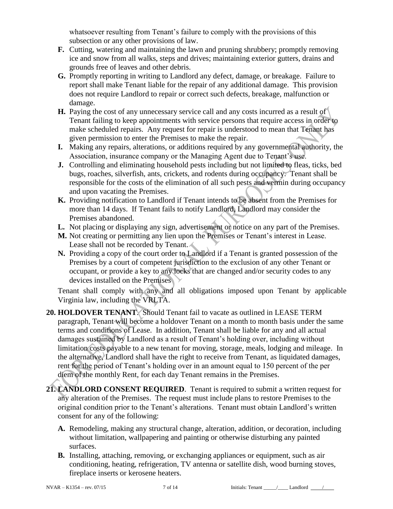whatsoever resulting from Tenant's failure to comply with the provisions of this subsection or any other provisions of law.

- **F.** Cutting, watering and maintaining the lawn and pruning shrubbery; promptly removing ice and snow from all walks, steps and drives; maintaining exterior gutters, drains and grounds free of leaves and other debris.
- **G.** Promptly reporting in writing to Landlord any defect, damage, or breakage. Failure to report shall make Tenant liable for the repair of any additional damage. This provision does not require Landlord to repair or correct such defects, breakage, malfunction or damage.
- **H.** Paying the cost of any unnecessary service call and any costs incurred as a result of Tenant failing to keep appointments with service persons that require access in order to make scheduled repairs. Any request for repair is understood to mean that Tenant has given permission to enter the Premises to make the repair.
- **I.** Making any repairs, alterations, or additions required by any governmental authority, the Association, insurance company or the Managing Agent due to Tenant's use.
- **J.** Controlling and eliminating household pests including but not limited to fleas, ticks, bed bugs, roaches, silverfish, ants, crickets, and rodents during occupancy. Tenant shall be responsible for the costs of the elimination of all such pests and vermin during occupancy and upon vacating the Premises.
- **K.** Providing notification to Landlord if Tenant intends to be absent from the Premises for more than 14 days. If Tenant fails to notify Landlord, Landlord may consider the Premises abandoned.
- **L.** Not placing or displaying any sign, advertisement or notice on any part of the Premises.
- **M.** Not creating or permitting any lien upon the Premises or Tenant's interest in Lease. Lease shall not be recorded by Tenant.
- **N.** Providing a copy of the court order to Landlord if a Tenant is granted possession of the Premises by a court of competent jurisdiction to the exclusion of any other Tenant or occupant, or provide a key to any locks that are changed and/or security codes to any devices installed on the Premises

Tenant shall comply with any and all obligations imposed upon Tenant by applicable Virginia law, including the VRLTA.

- **20. HOLDOVER TENANT**. Should Tenant fail to vacate as outlined in LEASE TERM paragraph, Tenant will become a holdover Tenant on a month to month basis under the same terms and conditions of Lease. In addition, Tenant shall be liable for any and all actual damages sustained by Landlord as a result of Tenant's holding over, including without limitation costs payable to a new tenant for moving, storage, meals, lodging and mileage. In the alternative, Landlord shall have the right to receive from Tenant, as liquidated damages, rent for the period of Tenant's holding over in an amount equal to 150 percent of the per diem of the monthly Rent, for each day Tenant remains in the Premises.
- **21. LANDLORD CONSENT REQUIRED**. Tenant is required to submit a written request for any alteration of the Premises. The request must include plans to restore Premises to the original condition prior to the Tenant's alterations. Tenant must obtain Landlord's written consent for any of the following:
	- **A.** Remodeling, making any structural change, alteration, addition, or decoration, including without limitation, wallpapering and painting or otherwise disturbing any painted surfaces.
	- **B.** Installing, attaching, removing, or exchanging appliances or equipment, such as air conditioning, heating, refrigeration, TV antenna or satellite dish, wood burning stoves, fireplace inserts or kerosene heaters.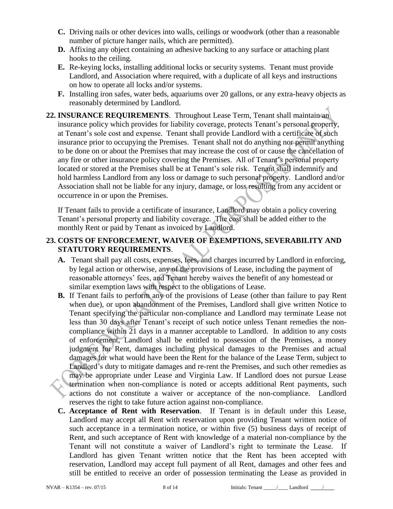- **C.** Driving nails or other devices into walls, ceilings or woodwork (other than a reasonable number of picture hanger nails, which are permitted).
- **D.** Affixing any object containing an adhesive backing to any surface or attaching plant hooks to the ceiling.
- **E.** Re-keying locks, installing additional locks or security systems. Tenant must provide Landlord, and Association where required, with a duplicate of all keys and instructions on how to operate all locks and/or systems.
- **F.** Installing iron safes, water beds, aquariums over 20 gallons, or any extra-heavy objects as reasonably determined by Landlord.
- **22. INSURANCE REQUIREMENTS**. Throughout Lease Term, Tenant shall maintain an insurance policy which provides for liability coverage, protects Tenant's personal property, at Tenant's sole cost and expense. Tenant shall provide Landlord with a certificate of such insurance prior to occupying the Premises. Tenant shall not do anything nor permit anything to be done on or about the Premises that may increase the cost of or cause the cancellation of any fire or other insurance policy covering the Premises. All of Tenant's personal property located or stored at the Premises shall be at Tenant's sole risk. Tenant shall indemnify and hold harmless Landlord from any loss or damage to such personal property. Landlord and/or Association shall not be liable for any injury, damage, or loss resulting from any accident or occurrence in or upon the Premises.

If Tenant fails to provide a certificate of insurance, Landlord may obtain a policy covering Tenant's personal property and liability coverage. The cost shall be added either to the monthly Rent or paid by Tenant as invoiced by Landlord.

### **23. COSTS OF ENFORCEMENT, WAIVER OF EXEMPTIONS, SEVERABILITY AND STATUTORY REQUIREMENTS**.

- **A.** Tenant shall pay all costs, expenses, fees, and charges incurred by Landlord in enforcing, by legal action or otherwise, any of the provisions of Lease, including the payment of reasonable attorneys' fees, and Tenant hereby waives the benefit of any homestead or similar exemption laws with respect to the obligations of Lease.
- **B.** If Tenant fails to perform any of the provisions of Lease (other than failure to pay Rent when due), or upon abandonment of the Premises, Landlord shall give written Notice to Tenant specifying the particular non-compliance and Landlord may terminate Lease not less than 30 days after Tenant's receipt of such notice unless Tenant remedies the noncompliance within 21 days in a manner acceptable to Landlord. In addition to any costs of enforcement, Landlord shall be entitled to possession of the Premises, a money judgment for Rent, damages including physical damages to the Premises and actual damages for what would have been the Rent for the balance of the Lease Term, subject to Landlord's duty to mitigate damages and re-rent the Premises, and such other remedies as may be appropriate under Lease and Virginia Law. If Landlord does not pursue Lease termination when non-compliance is noted or accepts additional Rent payments, such actions do not constitute a waiver or acceptance of the non-compliance. Landlord reserves the right to take future action against non-compliance.
- **C. Acceptance of Rent with Reservation**. If Tenant is in default under this Lease, Landlord may accept all Rent with reservation upon providing Tenant written notice of such acceptance in a termination notice, or within five (5) business days of receipt of Rent, and such acceptance of Rent with knowledge of a material non-compliance by the Tenant will not constitute a waiver of Landlord's right to terminate the Lease. If Landlord has given Tenant written notice that the Rent has been accepted with reservation, Landlord may accept full payment of all Rent, damages and other fees and still be entitled to receive an order of possession terminating the Lease as provided in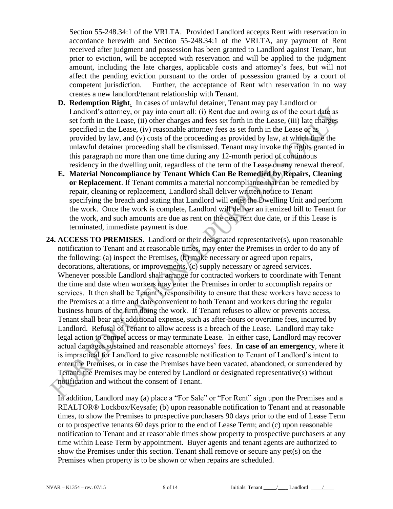Section 55-248.34:1 of the VRLTA. Provided Landlord accepts Rent with reservation in accordance herewith and Section 55-248.34:1 of the VRLTA, any payment of Rent received after judgment and possession has been granted to Landlord against Tenant, but prior to eviction, will be accepted with reservation and will be applied to the judgment amount, including the late charges, applicable costs and attorney's fees, but will not affect the pending eviction pursuant to the order of possession granted by a court of competent jurisdiction. Further, the acceptance of Rent with reservation in no way creates a new landlord/tenant relationship with Tenant.

- **D. Redemption Right**. In cases of unlawful detainer, Tenant may pay Landlord or Landlord's attorney, or pay into court all: (i) Rent due and owing as of the court date as set forth in the Lease, (ii) other charges and fees set forth in the Lease, (iii) late charges specified in the Lease, (iv) reasonable attorney fees as set forth in the Lease or as provided by law, and (v) costs of the proceeding as provided by law, at which time the unlawful detainer proceeding shall be dismissed. Tenant may invoke the rights granted in this paragraph no more than one time during any 12-month period of continuous residency in the dwelling unit, regardless of the term of the Lease or any renewal thereof.
- **E. Material Noncompliance by Tenant Which Can Be Remedied by Repairs, Cleaning or Replacement**. If Tenant commits a material noncompliance that can be remedied by repair, cleaning or replacement, Landlord shall deliver written notice to Tenant specifying the breach and stating that Landlord will enter the Dwelling Unit and perform the work. Once the work is complete, Landlord will deliver an itemized bill to Tenant for the work, and such amounts are due as rent on the next rent due date, or if this Lease is terminated, immediate payment is due.
- **24. ACCESS TO PREMISES**. Landlord or their designated representative(s), upon reasonable notification to Tenant and at reasonable times, may enter the Premises in order to do any of the following: (a) inspect the Premises, (b) make necessary or agreed upon repairs, decorations, alterations, or improvements, (c) supply necessary or agreed services. Whenever possible Landlord shall arrange for contracted workers to coordinate with Tenant the time and date when workers may enter the Premises in order to accomplish repairs or services. It then shall be Tenant's responsibility to ensure that these workers have access to the Premises at a time and date convenient to both Tenant and workers during the regular business hours of the firm doing the work. If Tenant refuses to allow or prevents access, Tenant shall bear any additional expense, such as after-hours or overtime fees, incurred by Landlord. Refusal of Tenant to allow access is a breach of the Lease. Landlord may take legal action to compel access or may terminate Lease. In either case, Landlord may recover actual damages sustained and reasonable attorneys' fees. **In case of an emergency**, where it is impractical for Landlord to give reasonable notification to Tenant of Landlord's intent to enter the Premises, or in case the Premises have been vacated, abandoned, or surrendered by Tenant, the Premises may be entered by Landlord or designated representative(s) without notification and without the consent of Tenant.

In addition, Landlord may (a) place a "For Sale" or "For Rent" sign upon the Premises and a REALTOR® Lockbox/Keysafe; (b) upon reasonable notification to Tenant and at reasonable times, to show the Premises to prospective purchasers 90 days prior to the end of Lease Term or to prospective tenants 60 days prior to the end of Lease Term; and (c) upon reasonable notification to Tenant and at reasonable times show property to prospective purchasers at any time within Lease Term by appointment. Buyer agents and tenant agents are authorized to show the Premises under this section. Tenant shall remove or secure any pet(s) on the Premises when property is to be shown or when repairs are scheduled.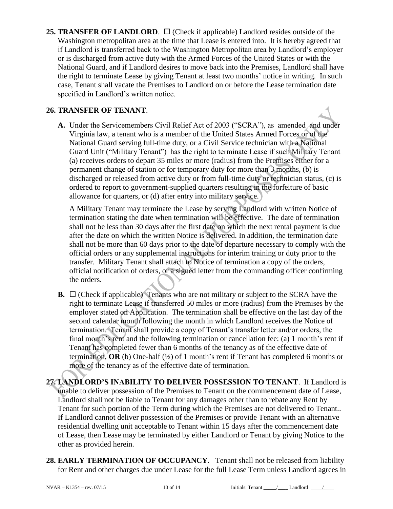**25. TRANSFER OF LANDLORD.**  $\Box$  (Check if applicable) Landlord resides outside of the Washington metropolitan area at the time that Lease is entered into. It is hereby agreed that if Landlord is transferred back to the Washington Metropolitan area by Landlord's employer or is discharged from active duty with the Armed Forces of the United States or with the National Guard, and if Landlord desires to move back into the Premises, Landlord shall have the right to terminate Lease by giving Tenant at least two months' notice in writing. In such case, Tenant shall vacate the Premises to Landlord on or before the Lease termination date specified in Landlord's written notice.

### **26. TRANSFER OF TENANT**.

**A.** Under the Servicemembers Civil Relief Act of 2003 ("SCRA"), as amended and under Virginia law, a tenant who is a member of the United States Armed Forces or of the National Guard serving full-time duty, or a Civil Service technician with a National Guard Unit ("Military Tenant") has the right to terminate Lease if such Military Tenant (a) receives orders to depart 35 miles or more (radius) from the Premises either for a permanent change of station or for temporary duty for more than 3 months, (b) is discharged or released from active duty or from full-time duty or technician status, (c) is ordered to report to government-supplied quarters resulting in the forfeiture of basic allowance for quarters, or (d) after entry into military service.

A Military Tenant may terminate the Lease by serving Landlord with written Notice of termination stating the date when termination will be effective. The date of termination shall not be less than 30 days after the first date on which the next rental payment is due after the date on which the written Notice is delivered. In addition, the termination date shall not be more than 60 days prior to the date of departure necessary to comply with the official orders or any supplemental instructions for interim training or duty prior to the transfer. Military Tenant shall attach to Notice of termination a copy of the orders, official notification of orders, or a signed letter from the commanding officer confirming the orders.

**B.**  $\Box$  (Check if applicable) Tenants who are not military or subject to the SCRA have the right to terminate Lease if transferred 50 miles or more (radius) from the Premises by the employer stated on Application. The termination shall be effective on the last day of the second calendar month following the month in which Landlord receives the Notice of termination. Tenant shall provide a copy of Tenant's transfer letter and/or orders, the final month's rent and the following termination or cancellation fee: (a) 1 month's rent if Tenant has completed fewer than 6 months of the tenancy as of the effective date of termination,  $OR$  (b) One-half ( $\frac{1}{2}$ ) of 1 month's rent if Tenant has completed 6 months or more of the tenancy as of the effective date of termination.

**27. LANDLORD'S INABILITY TO DELIVER POSSESSION TO TENANT**. If Landlord is unable to deliver possession of the Premises to Tenant on the commencement date of Lease, Landlord shall not be liable to Tenant for any damages other than to rebate any Rent by Tenant for such portion of the Term during which the Premises are not delivered to Tenant.. If Landlord cannot deliver possession of the Premises or provide Tenant with an alternative residential dwelling unit acceptable to Tenant within 15 days after the commencement date of Lease, then Lease may be terminated by either Landlord or Tenant by giving Notice to the other as provided herein.

**28. EARLY TERMINATION OF OCCUPANCY**.Tenant shall not be released from liability for Rent and other charges due under Lease for the full Lease Term unless Landlord agrees in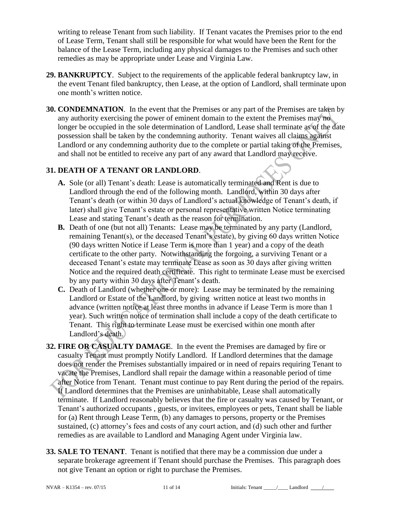writing to release Tenant from such liability. If Tenant vacates the Premises prior to the end of Lease Term, Tenant shall still be responsible for what would have been the Rent for the balance of the Lease Term, including any physical damages to the Premises and such other remedies as may be appropriate under Lease and Virginia Law.

- **29. BANKRUPTCY**. Subject to the requirements of the applicable federal bankruptcy law, in the event Tenant filed bankruptcy, then Lease, at the option of Landlord, shall terminate upon one month's written notice.
- **30. CONDEMNATION**. In the event that the Premises or any part of the Premises are taken by any authority exercising the power of eminent domain to the extent the Premises may no longer be occupied in the sole determination of Landlord, Lease shall terminate as of the date possession shall be taken by the condemning authority. Tenant waives all claims against Landlord or any condemning authority due to the complete or partial taking of the Premises, and shall not be entitled to receive any part of any award that Landlord may receive.

#### **31. DEATH OF A TENANT OR LANDLORD**.

- **A.** Sole (or all) Tenant's death: Lease is automatically terminated and Rent is due to Landlord through the end of the following month. Landlord, within 30 days after Tenant's death (or within 30 days of Landlord's actual knowledge of Tenant's death, if later) shall give Tenant's estate or personal representative written Notice terminating Lease and stating Tenant's death as the reason for termination.
- **B.** Death of one (but not all) Tenants: Lease may be terminated by any party (Landlord, remaining Tenant(s), or the deceased Tenant's estate), by giving 60 days written Notice (90 days written Notice if Lease Term is more than 1 year) and a copy of the death certificate to the other party. Notwithstanding the forgoing, a surviving Tenant or a deceased Tenant's estate may terminate Lease as soon as 30 days after giving written Notice and the required death certificate. This right to terminate Lease must be exercised by any party within 30 days after Tenant's death.
- **C.** Death of Landlord (whether one or more): Lease may be terminated by the remaining Landlord or Estate of the Landlord, by giving written notice at least two months in advance (written notice at least three months in advance if Lease Term is more than 1 year). Such written notice of termination shall include a copy of the death certificate to Tenant. This right to terminate Lease must be exercised within one month after Landlord's death.
- **32. FIRE OR CASUALTY DAMAGE**.In the event the Premises are damaged by fire or casualty Tenant must promptly Notify Landlord. If Landlord determines that the damage does not render the Premises substantially impaired or in need of repairs requiring Tenant to vacate the Premises, Landlord shall repair the damage within a reasonable period of time after Notice from Tenant. Tenant must continue to pay Rent during the period of the repairs. If Landlord determines that the Premises are uninhabitable, Lease shall automatically terminate. If Landlord reasonably believes that the fire or casualty was caused by Tenant, or Tenant's authorized occupants , guests, or invitees, employees or pets, Tenant shall be liable for (a) Rent through Lease Term, (b) any damages to persons, property or the Premises sustained, (c) attorney's fees and costs of any court action, and (d) such other and further remedies as are available to Landlord and Managing Agent under Virginia law.
- **33. SALE TO TENANT**. Tenant is notified that there may be a commission due under a separate brokerage agreement if Tenant should purchase the Premises. This paragraph does not give Tenant an option or right to purchase the Premises.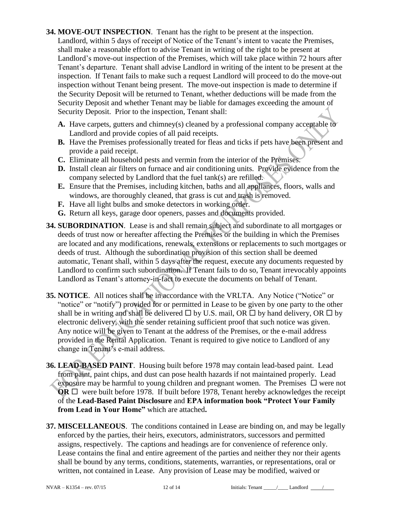- **34. MOVE-OUT INSPECTION**. Tenant has the right to be present at the inspection. Landlord, within 5 days of receipt of Notice of the Tenant's intent to vacate the Premises, shall make a reasonable effort to advise Tenant in writing of the right to be present at Landlord's move-out inspection of the Premises, which will take place within 72 hours after Tenant's departure. Tenant shall advise Landlord in writing of the intent to be present at the inspection. If Tenant fails to make such a request Landlord will proceed to do the move-out inspection without Tenant being present. The move-out inspection is made to determine if the Security Deposit will be returned to Tenant, whether deductions will be made from the Security Deposit and whether Tenant may be liable for damages exceeding the amount of Security Deposit. Prior to the inspection, Tenant shall:
	- **A.** Have carpets, gutters and chimney(s) cleaned by a professional company acceptable to Landlord and provide copies of all paid receipts.
	- **B.** Have the Premises professionally treated for fleas and ticks if pets have been present and provide a paid receipt.
	- **C.** Eliminate all household pests and vermin from the interior of the Premises.
	- **D.** Install clean air filters on furnace and air conditioning units. Provide evidence from the company selected by Landlord that the fuel tank(s) are refilled.
	- **E.** Ensure that the Premises, including kitchen, baths and all appliances, floors, walls and windows, are thoroughly cleaned, that grass is cut and trash is removed.
	- **F.** Have all light bulbs and smoke detectors in working order.
	- **G.** Return all keys, garage door openers, passes and documents provided.
- **34. SUBORDINATION**. Lease is and shall remain subject and subordinate to all mortgages or deeds of trust now or hereafter affecting the Premises or the building in which the Premises are located and any modifications, renewals, extensions or replacements to such mortgages or deeds of trust. Although the subordination provision of this section shall be deemed automatic, Tenant shall, within 5 days after the request, execute any documents requested by Landlord to confirm such subordination. If Tenant fails to do so, Tenant irrevocably appoints Landlord as Tenant's attorney-in-fact to execute the documents on behalf of Tenant.
- **35. NOTICE**. All notices shall be in accordance with the VRLTA. Any Notice ("Notice" or "notice" or "notify") provided for or permitted in Lease to be given by one party to the other shall be in writing and shall be delivered  $\Box$  by U.S. mail, OR  $\Box$  by hand delivery, OR  $\Box$  by electronic delivery, with the sender retaining sufficient proof that such notice was given. Any notice will be given to Tenant at the address of the Premises, or the e-mail address provided in the Rental Application. Tenant is required to give notice to Landlord of any change in Tenant's e-mail address.
- **36. LEAD-BASED PAINT**.Housing built before 1978 may contain lead-based paint. Lead from paint, paint chips, and dust can pose health hazards if not maintained properly. Lead exposure may be harmful to young children and pregnant women. The Premises  $\Box$  were not **OR**  $\Box$  were built before 1978. If built before 1978, Tenant hereby acknowledges the receipt of the **Lead-Based Paint Disclosure** and **EPA information book "Protect Your Family from Lead in Your Home"** which are attached**.**
- **37. MISCELLANEOUS**. The conditions contained in Lease are binding on, and may be legally enforced by the parties, their heirs, executors, administrators, successors and permitted assigns, respectively. The captions and headings are for convenience of reference only. Lease contains the final and entire agreement of the parties and neither they nor their agents shall be bound by any terms, conditions, statements, warranties, or representations, oral or written, not contained in Lease. Any provision of Lease may be modified, waived or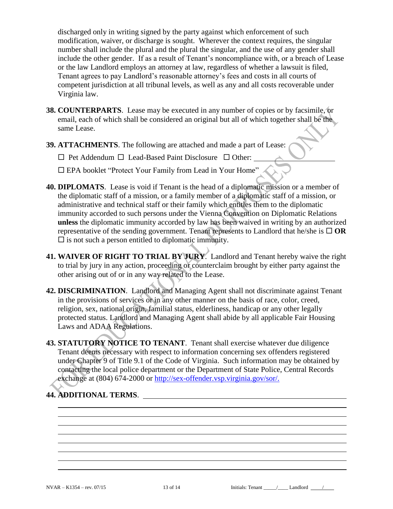discharged only in writing signed by the party against which enforcement of such modification, waiver, or discharge is sought. Wherever the context requires, the singular number shall include the plural and the plural the singular, and the use of any gender shall include the other gender. If as a result of Tenant's noncompliance with, or a breach of Lease or the law Landlord employs an attorney at law, regardless of whether a lawsuit is filed, Tenant agrees to pay Landlord's reasonable attorney's fees and costs in all courts of competent jurisdiction at all tribunal levels, as well as any and all costs recoverable under Virginia law.

- **38. COUNTERPARTS**. Lease may be executed in any number of copies or by facsimile, or email, each of which shall be considered an original but all of which together shall be the same Lease.
- **39. ATTACHMENTS**. The following are attached and made a part of Lease:

 $\Box$  Pet Addendum  $\Box$  Lead-Based Paint Disclosure  $\Box$  Other:

EPA booklet "Protect Your Family from Lead in Your Home"

- **40. DIPLOMATS**. Lease is void if Tenant is the head of a diplomatic mission or a member of the diplomatic staff of a mission, or a family member of a diplomatic staff of a mission, or administrative and technical staff or their family which entitles them to the diplomatic immunity accorded to such persons under the Vienna Convention on Diplomatic Relations **unless** the diplomatic immunity accorded by law has been waived in writing by an authorized representative of the sending government. Tenant represents to Landlord that he/she is  $\Box$  OR  $\square$  is not such a person entitled to diplomatic immunity.
- **41. WAIVER OF RIGHT TO TRIAL BY JURY**. Landlord and Tenant hereby waive the right to trial by jury in any action, proceeding or counterclaim brought by either party against the other arising out of or in any way related to the Lease.
- **42. DISCRIMINATION**. Landlord and Managing Agent shall not discriminate against Tenant in the provisions of services or in any other manner on the basis of race, color, creed, religion, sex, national origin, familial status, elderliness, handicap or any other legally protected status. Landlord and Managing Agent shall abide by all applicable Fair Housing Laws and ADAA Regulations.
- **43. STATUTORY NOTICE TO TENANT**. Tenant shall exercise whatever due diligence Tenant deems necessary with respect to information concerning sex offenders registered under Chapter 9 of Title 9.1 of the Code of Virginia. Such information may be obtained by contacting the local police department or the Department of State Police, Central Records exchange at (804) 674-2000 or http://sex-offender.vsp.virginia.gov/sor/.

# **44. ADDITIONAL TERMS**.